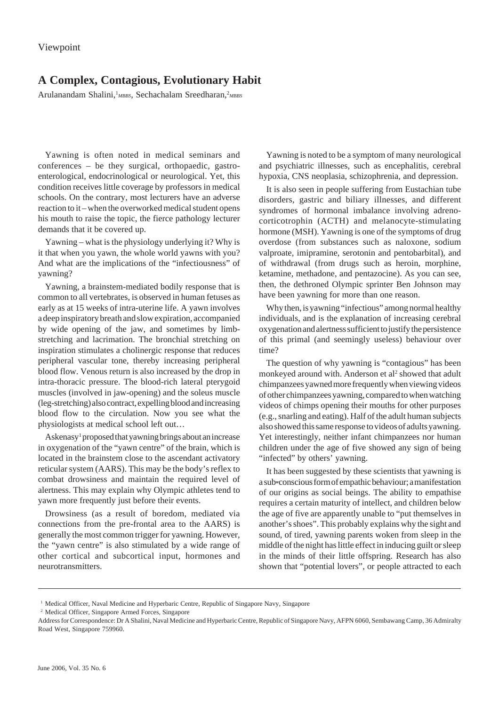## **A Complex, Contagious, Evolutionary Habit**

Arulanandam Shalini, <sup>1</sup>MBBS, Sechachalam Sreedharan, <sup>2</sup>MBBS

Yawning is often noted in medical seminars and conferences – be they surgical, orthopaedic, gastroenterological, endocrinological or neurological. Yet, this condition receives little coverage by professors in medical schools. On the contrary, most lecturers have an adverse reaction to it – when the overworked medical student opens his mouth to raise the topic, the fierce pathology lecturer demands that it be covered up.

Yawning – what is the physiology underlying it? Why is it that when you yawn, the whole world yawns with you? And what are the implications of the "infectiousness" of yawning?

Yawning, a brainstem-mediated bodily response that is common to all vertebrates, is observed in human fetuses as early as at 15 weeks of intra-uterine life. A yawn involves a deep inspiratory breath and slow expiration, accompanied by wide opening of the jaw, and sometimes by limbstretching and lacrimation. The bronchial stretching on inspiration stimulates a cholinergic response that reduces peripheral vascular tone, thereby increasing peripheral blood flow. Venous return is also increased by the drop in intra-thoracic pressure. The blood-rich lateral pterygoid muscles (involved in jaw-opening) and the soleus muscle (leg-stretching) also contract, expelling blood and increasing blood flow to the circulation. Now you see what the physiologists at medical school left out…

Askenasy<sup>1</sup> proposed that yawning brings about an increase in oxygenation of the "yawn centre" of the brain, which is located in the brainstem close to the ascendant activatory reticular system (AARS). This may be the body's reflex to combat drowsiness and maintain the required level of alertness. This may explain why Olympic athletes tend to yawn more frequently just before their events.

Drowsiness (as a result of boredom, mediated via connections from the pre-frontal area to the AARS) is generally the most common trigger for yawning. However, the "yawn centre" is also stimulated by a wide range of other cortical and subcortical input, hormones and neurotransmitters.

Yawning is noted to be a symptom of many neurological and psychiatric illnesses, such as encephalitis, cerebral hypoxia, CNS neoplasia, schizophrenia, and depression.

It is also seen in people suffering from Eustachian tube disorders, gastric and biliary illnesses, and different syndromes of hormonal imbalance involving adrenocorticotrophin (ACTH) and melanocyte-stimulating hormone (MSH). Yawning is one of the symptoms of drug overdose (from substances such as naloxone, sodium valproate, imipramine, serotonin and pentobarbital), and of withdrawal (from drugs such as heroin, morphine, ketamine, methadone, and pentazocine). As you can see, then, the dethroned Olympic sprinter Ben Johnson may have been yawning for more than one reason.

Why then, is yawning "infectious" among normal healthy individuals, and is the explanation of increasing cerebral oxygenation and alertness sufficient to justify the persistence of this primal (and seemingly useless) behaviour over time?

The question of why yawning is "contagious" has been monkeyed around with. Anderson et al<sup>2</sup> showed that adult chimpanzees yawned more frequently when viewing videos of other chimpanzees yawning, compared to when watching videos of chimps opening their mouths for other purposes (e.g., snarling and eating). Half of the adult human subjects also showed this same response to videos of adults yawning. Yet interestingly, neither infant chimpanzees nor human children under the age of five showed any sign of being "infected" by others' yawning.

It has been suggested by these scientists that yawning is a sub-conscious form of empathic behaviour; a manifestation of our origins as social beings. The ability to empathise requires a certain maturity of intellect, and children below the age of five are apparently unable to "put themselves in another's shoes". This probably explains why the sight and sound, of tired, yawning parents woken from sleep in the middle of the night has little effect in inducing guilt or sleep in the minds of their little offspring. Research has also shown that "potential lovers", or people attracted to each

<sup>&</sup>lt;sup>1</sup> Medical Officer, Naval Medicine and Hyperbaric Centre, Republic of Singapore Navy, Singapore

<sup>2</sup> Medical Officer, Singapore Armed Forces, Singapore

Address for Correspondence: Dr A Shalini, Naval Medicine and Hyperbaric Centre, Republic of Singapore Navy, AFPN 6060, Sembawang Camp, 36 Admiralty Road West, Singapore 759960.